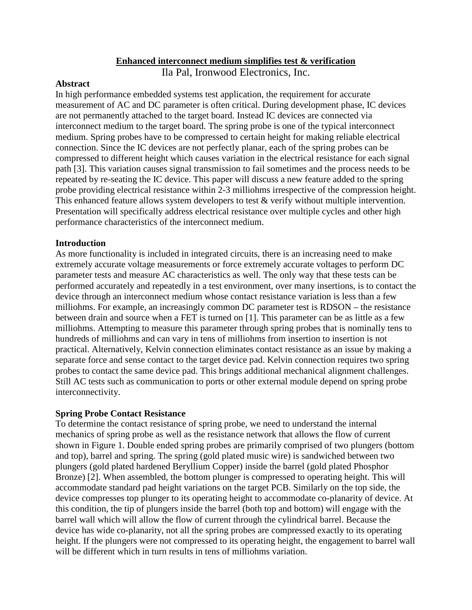#### **Enhanced interconnect medium simplifies test & verification**

Ila Pal, Ironwood Electronics, Inc.

#### **Abstract**

In high performance embedded systems test application, the requirement for accurate measurement of AC and DC parameter is often critical. During development phase, IC devices are not permanently attached to the target board. Instead IC devices are connected via interconnect medium to the target board. The spring probe is one of the typical interconnect medium. Spring probes have to be compressed to certain height for making reliable electrical connection. Since the IC devices are not perfectly planar, each of the spring probes can be compressed to different height which causes variation in the electrical resistance for each signal path [3]. This variation causes signal transmission to fail sometimes and the process needs to be repeated by re-seating the IC device. This paper will discuss a new feature added to the spring probe providing electrical resistance within 2-3 milliohms irrespective of the compression height. This enhanced feature allows system developers to test  $\&$  verify without multiple intervention. Presentation will specifically address electrical resistance over multiple cycles and other high performance characteristics of the interconnect medium.

#### **Introduction**

As more functionality is included in integrated circuits, there is an increasing need to make extremely accurate voltage measurements or force extremely accurate voltages to perform DC parameter tests and measure AC characteristics as well. The only way that these tests can be performed accurately and repeatedly in a test environment, over many insertions, is to contact the device through an interconnect medium whose contact resistance variation is less than a few milliohms. For example, an increasingly common DC parameter test is RDSON – the resistance between drain and source when a FET is turned on [1]. This parameter can be as little as a few milliohms. Attempting to measure this parameter through spring probes that is nominally tens to hundreds of milliohms and can vary in tens of milliohms from insertion to insertion is not practical. Alternatively, Kelvin connection eliminates contact resistance as an issue by making a separate force and sense contact to the target device pad. Kelvin connection requires two spring probes to contact the same device pad. This brings additional mechanical alignment challenges. Still AC tests such as communication to ports or other external module depend on spring probe interconnectivity.

# **Spring Probe Contact Resistance**

To determine the contact resistance of spring probe, we need to understand the internal mechanics of spring probe as well as the resistance network that allows the flow of current shown in Figure 1. Double ended spring probes are primarily comprised of two plungers (bottom and top), barrel and spring. The spring (gold plated music wire) is sandwiched between two plungers (gold plated hardened Beryllium Copper) inside the barrel (gold plated Phosphor Bronze) [2]. When assembled, the bottom plunger is compressed to operating height. This will accommodate standard pad height variations on the target PCB. Similarly on the top side, the device compresses top plunger to its operating height to accommodate co-planarity of device. At this condition, the tip of plungers inside the barrel (both top and bottom) will engage with the barrel wall which will allow the flow of current through the cylindrical barrel. Because the device has wide co-planarity, not all the spring probes are compressed exactly to its operating height. If the plungers were not compressed to its operating height, the engagement to barrel wall will be different which in turn results in tens of milliohms variation.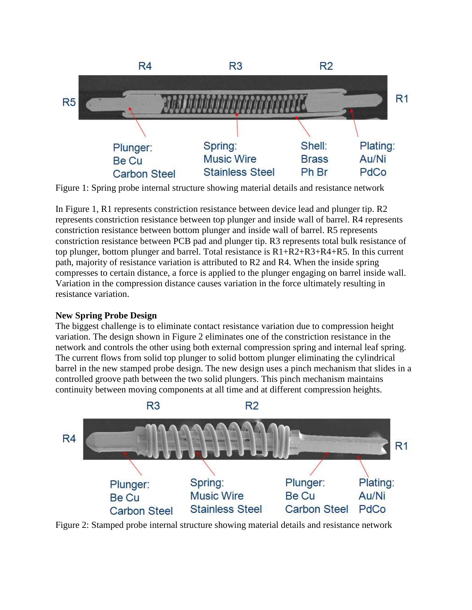

Figure 1: Spring probe internal structure showing material details and resistance network

In Figure 1, R1 represents constriction resistance between device lead and plunger tip. R2 represents constriction resistance between top plunger and inside wall of barrel. R4 represents constriction resistance between bottom plunger and inside wall of barrel. R5 represents constriction resistance between PCB pad and plunger tip. R3 represents total bulk resistance of top plunger, bottom plunger and barrel. Total resistance is R1+R2+R3+R4+R5. In this current path, majority of resistance variation is attributed to R2 and R4. When the inside spring compresses to certain distance, a force is applied to the plunger engaging on barrel inside wall. Variation in the compression distance causes variation in the force ultimately resulting in resistance variation.

# **New Spring Probe Design**

The biggest challenge is to eliminate contact resistance variation due to compression height variation. The design shown in Figure 2 eliminates one of the constriction resistance in the network and controls the other using both external compression spring and internal leaf spring. The current flows from solid top plunger to solid bottom plunger eliminating the cylindrical barrel in the new stamped probe design. The new design uses a pinch mechanism that slides in a controlled groove path between the two solid plungers. This pinch mechanism maintains continuity between moving components at all time and at different compression heights.



Figure 2: Stamped probe internal structure showing material details and resistance network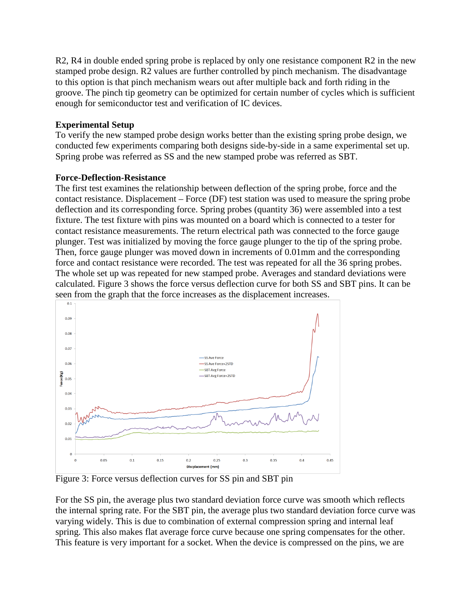R2, R4 in double ended spring probe is replaced by only one resistance component R2 in the new stamped probe design. R2 values are further controlled by pinch mechanism. The disadvantage to this option is that pinch mechanism wears out after multiple back and forth riding in the groove. The pinch tip geometry can be optimized for certain number of cycles which is sufficient enough for semiconductor test and verification of IC devices.

# **Experimental Setup**

To verify the new stamped probe design works better than the existing spring probe design, we conducted few experiments comparing both designs side-by-side in a same experimental set up. Spring probe was referred as SS and the new stamped probe was referred as SBT.

# **Force-Deflection-Resistance**

The first test examines the relationship between deflection of the spring probe, force and the contact resistance. Displacement – Force (DF) test station was used to measure the spring probe deflection and its corresponding force. Spring probes (quantity 36) were assembled into a test fixture. The test fixture with pins was mounted on a board which is connected to a tester for contact resistance measurements. The return electrical path was connected to the force gauge plunger. Test was initialized by moving the force gauge plunger to the tip of the spring probe. Then, force gauge plunger was moved down in increments of 0.01mm and the corresponding force and contact resistance were recorded. The test was repeated for all the 36 spring probes. The whole set up was repeated for new stamped probe. Averages and standard deviations were calculated. Figure 3 shows the force versus deflection curve for both SS and SBT pins. It can be seen from the graph that the force increases as the displacement increases.



Figure 3: Force versus deflection curves for SS pin and SBT pin

For the SS pin, the average plus two standard deviation force curve was smooth which reflects the internal spring rate. For the SBT pin, the average plus two standard deviation force curve was varying widely. This is due to combination of external compression spring and internal leaf spring. This also makes flat average force curve because one spring compensates for the other. This feature is very important for a socket. When the device is compressed on the pins, we are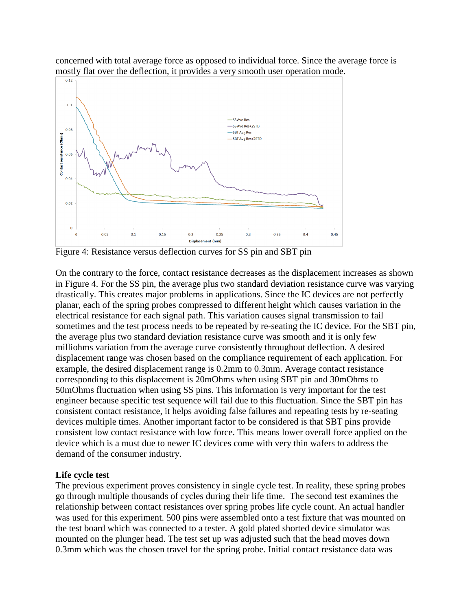concerned with total average force as opposed to individual force. Since the average force is mostly flat over the deflection, it provides a very smooth user operation mode.



Figure 4: Resistance versus deflection curves for SS pin and SBT pin

On the contrary to the force, contact resistance decreases as the displacement increases as shown in Figure 4. For the SS pin, the average plus two standard deviation resistance curve was varying drastically. This creates major problems in applications. Since the IC devices are not perfectly planar, each of the spring probes compressed to different height which causes variation in the electrical resistance for each signal path. This variation causes signal transmission to fail sometimes and the test process needs to be repeated by re-seating the IC device. For the SBT pin, the average plus two standard deviation resistance curve was smooth and it is only few milliohms variation from the average curve consistently throughout deflection. A desired displacement range was chosen based on the compliance requirement of each application. For example, the desired displacement range is 0.2mm to 0.3mm. Average contact resistance corresponding to this displacement is 20mOhms when using SBT pin and 30mOhms to 50mOhms fluctuation when using SS pins. This information is very important for the test engineer because specific test sequence will fail due to this fluctuation. Since the SBT pin has consistent contact resistance, it helps avoiding false failures and repeating tests by re-seating devices multiple times. Another important factor to be considered is that SBT pins provide consistent low contact resistance with low force. This means lower overall force applied on the device which is a must due to newer IC devices come with very thin wafers to address the demand of the consumer industry.

#### **Life cycle test**

The previous experiment proves consistency in single cycle test. In reality, these spring probes go through multiple thousands of cycles during their life time. The second test examines the relationship between contact resistances over spring probes life cycle count. An actual handler was used for this experiment. 500 pins were assembled onto a test fixture that was mounted on the test board which was connected to a tester. A gold plated shorted device simulator was mounted on the plunger head. The test set up was adjusted such that the head moves down 0.3mm which was the chosen travel for the spring probe. Initial contact resistance data was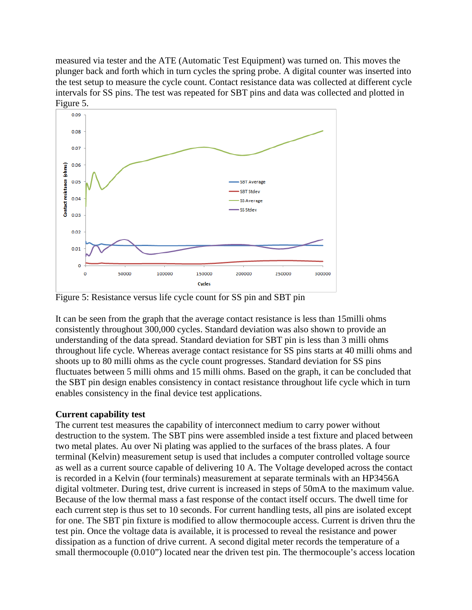measured via tester and the ATE (Automatic Test Equipment) was turned on. This moves the plunger back and forth which in turn cycles the spring probe. A digital counter was inserted into the test setup to measure the cycle count. Contact resistance data was collected at different cycle intervals for SS pins. The test was repeated for SBT pins and data was collected and plotted in Figure 5.

![](_page_4_Figure_1.jpeg)

Figure 5: Resistance versus life cycle count for SS pin and SBT pin

It can be seen from the graph that the average contact resistance is less than 15milli ohms consistently throughout 300,000 cycles. Standard deviation was also shown to provide an understanding of the data spread. Standard deviation for SBT pin is less than 3 milli ohms throughout life cycle. Whereas average contact resistance for SS pins starts at 40 milli ohms and shoots up to 80 milli ohms as the cycle count progresses. Standard deviation for SS pins fluctuates between 5 milli ohms and 15 milli ohms. Based on the graph, it can be concluded that the SBT pin design enables consistency in contact resistance throughout life cycle which in turn enables consistency in the final device test applications.

# **Current capability test**

The current test measures the capability of interconnect medium to carry power without destruction to the system. The SBT pins were assembled inside a test fixture and placed between two metal plates. Au over Ni plating was applied to the surfaces of the brass plates. A four terminal (Kelvin) measurement setup is used that includes a computer controlled voltage source as well as a current source capable of delivering 10 A. The Voltage developed across the contact is recorded in a Kelvin (four terminals) measurement at separate terminals with an HP3456A digital voltmeter. During test, drive current is increased in steps of 50mA to the maximum value. Because of the low thermal mass a fast response of the contact itself occurs. The dwell time for each current step is thus set to 10 seconds. For current handling tests, all pins are isolated except for one. The SBT pin fixture is modified to allow thermocouple access. Current is driven thru the test pin. Once the voltage data is available, it is processed to reveal the resistance and power dissipation as a function of drive current. A second digital meter records the temperature of a small thermocouple (0.010") located near the driven test pin. The thermocouple's access location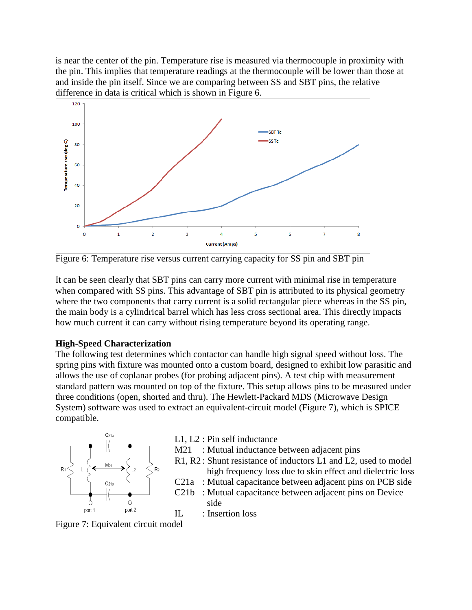is near the center of the pin. Temperature rise is measured via thermocouple in proximity with the pin. This implies that temperature readings at the thermocouple will be lower than those at and inside the pin itself. Since we are comparing between SS and SBT pins, the relative difference in data is critical which is shown in Figure 6.

![](_page_5_Figure_1.jpeg)

Figure 6: Temperature rise versus current carrying capacity for SS pin and SBT pin

It can be seen clearly that SBT pins can carry more current with minimal rise in temperature when compared with SS pins. This advantage of SBT pin is attributed to its physical geometry where the two components that carry current is a solid rectangular piece whereas in the SS pin, the main body is a cylindrical barrel which has less cross sectional area. This directly impacts how much current it can carry without rising temperature beyond its operating range.

#### **High-Speed Characterization**

The following test determines which contactor can handle high signal speed without loss. The spring pins with fixture was mounted onto a custom board, designed to exhibit low parasitic and allows the use of coplanar probes (for probing adjacent pins). A test chip with measurement standard pattern was mounted on top of the fixture. This setup allows pins to be measured under three conditions (open, shorted and thru). The Hewlett-Packard MDS (Microwave Design System) software was used to extract an equivalent-circuit model (Figure 7), which is SPICE compatible.

![](_page_5_Figure_6.jpeg)

L1, L2 : Pin self inductance

IL : Insertion loss

M21 : Mutual inductance between adjacent pins

- R1, R2 : Shunt resistance of inductors L1 and L2, used to model high frequency loss due to skin effect and dielectric loss
- C21a : Mutual capacitance between adjacent pins on PCB side
- C21b : Mutual capacitance between adjacent pins on Device side

Figure 7: Equivalent circuit model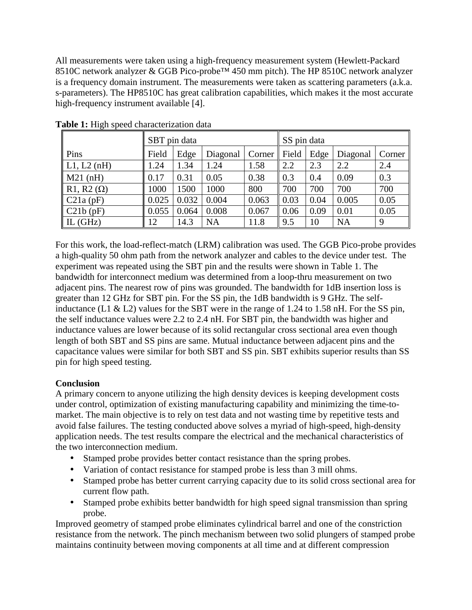All measurements were taken using a high-frequency measurement system (Hewlett-Packard 8510C network analyzer & GGB Pico-probe™ 450 mm pitch). The HP 8510C network analyzer is a frequency domain instrument. The measurements were taken as scattering parameters (a.k.a. s-parameters). The HP8510C has great calibration capabilities, which makes it the most accurate high-frequency instrument available [4].

| $\sim$ $\sim$                                        | SBT pin data |       |           |                | SS pin data |      |           |        |
|------------------------------------------------------|--------------|-------|-----------|----------------|-------------|------|-----------|--------|
| $\parallel$ Pins                                     | Field        | Edge  | Diagonal  | Corner   Field |             | Edge | Diagonal  | Corner |
| $\parallel$ L1, L2 (nH)                              | 1.24         | 1.34  | 1.24      | 1.58           | 2.2         | 2.3  | 2.2       | 2.4    |
| M21(nH)                                              | 0.17         | 0.31  | 0.05      | 0.38           | 0.3         | 0.4  | 0.09      | 0.3    |
| $\vert$ R <sub>1</sub> , R <sub>2</sub> ( $\Omega$ ) | 1000         | 1500  | 1000      | 800            | 700         | 700  | 700       | 700    |
| $\vert$ C21a (pF)                                    | 0.025        | 0.032 | 0.004     | 0.063          | 0.03        | 0.04 | 0.005     | 0.05   |
| $\vert$ C21b (pF)                                    | 0.055        | 0.064 | 0.008     | 0.067          | 0.06        | 0.09 | 0.01      | 0.05   |
| $\parallel$ IL (GHz)                                 | 12           | 14.3  | <b>NA</b> | 11.8           | 9.5         | 10   | <b>NA</b> | 9      |

**Table 1:** High speed characterization data

For this work, the load-reflect-match (LRM) calibration was used. The GGB Pico-probe provides a high-quality 50 ohm path from the network analyzer and cables to the device under test. The experiment was repeated using the SBT pin and the results were shown in Table 1. The bandwidth for interconnect medium was determined from a loop-thru measurement on two adjacent pins. The nearest row of pins was grounded. The bandwidth for 1dB insertion loss is greater than 12 GHz for SBT pin. For the SS pin, the 1dB bandwidth is 9 GHz. The selfinductance (L1 & L2) values for the SBT were in the range of 1.24 to 1.58 nH. For the SS pin, the self inductance values were 2.2 to 2.4 nH. For SBT pin, the bandwidth was higher and inductance values are lower because of its solid rectangular cross sectional area even though length of both SBT and SS pins are same. Mutual inductance between adjacent pins and the capacitance values were similar for both SBT and SS pin. SBT exhibits superior results than SS pin for high speed testing.

# **Conclusion**

A primary concern to anyone utilizing the high density devices is keeping development costs under control, optimization of existing manufacturing capability and minimizing the time-tomarket. The main objective is to rely on test data and not wasting time by repetitive tests and avoid false failures. The testing conducted above solves a myriad of high-speed, high-density application needs. The test results compare the electrical and the mechanical characteristics of the two interconnection medium.

- Stamped probe provides better contact resistance than the spring probes.
- Variation of contact resistance for stamped probe is less than 3 mill ohms.
- Stamped probe has better current carrying capacity due to its solid cross sectional area for current flow path.
- Stamped probe exhibits better bandwidth for high speed signal transmission than spring probe.

Improved geometry of stamped probe eliminates cylindrical barrel and one of the constriction resistance from the network. The pinch mechanism between two solid plungers of stamped probe maintains continuity between moving components at all time and at different compression